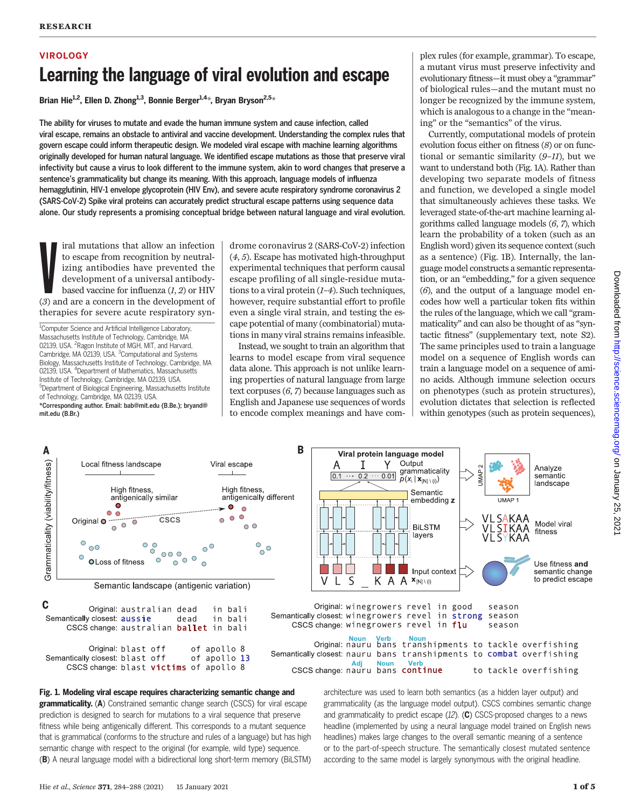# VIROLOGY Learning the language of viral evolution and escape

Brian Hie<sup>1,2</sup>, Ellen D. Zhong<sup>1,3</sup>, Bonnie Berger<sup>1,4\*</sup>, Bryan Bryson<sup>2,5\*</sup>

The ability for viruses to mutate and evade the human immune system and cause infection, called viral escape, remains an obstacle to antiviral and vaccine development. Understanding the complex rules that govern escape could inform therapeutic design. We modeled viral escape with machine learning algorithms originally developed for human natural language. We identified escape mutations as those that preserve viral infectivity but cause a virus to look different to the immune system, akin to word changes that preserve a sentence's grammaticality but change its meaning. With this approach, language models of influenza hemagglutinin, HIV-1 envelope glycoprotein (HIV Env), and severe acute respiratory syndrome coronavirus 2 (SARS-CoV-2) Spike viral proteins can accurately predict structural escape patterns using sequence data alone. Our study represents a promising conceptual bridge between natural language and viral evolution.

Final mutations that allow an infection to escape from recognition by neutralizing antibodies have prevented the development of a universal antibody-based vaccine for influenza  $(1, 2)$  or HIV (3) and are a concern in the iral mutations that allow an infection to escape from recognition by neutralizing antibodies have prevented the development of a universal antibodybased vaccine for influenza (1, 2) or HIV therapies for severe acute respiratory syn-

<sup>1</sup>Computer Science and Artificial Intelligence Laboratory, Massachusetts Institute of Technology, Cambridge, MA 02139, USA. <sup>2</sup>Ragon Institute of MGH, MIT, and Harvard, Cambridge, MA 02139, USA. <sup>3</sup>Computational and Systems Biology, Massachusetts Institute of Technology, Cambridge, MA 02139, USA. <sup>4</sup>Department of Mathematics, Massachusetts Institute of Technology, Cambridge, MA 02139, USA. 5 Department of Biological Engineering, Massachusetts Institute of Technology, Cambridge, MA 02139, USA. \*Corresponding author. Email: bab@mit.edu (B.Be.); bryand@ mit.edu (B.Br.)

drome coronavirus 2 (SARS-CoV-2) infection (4, 5). Escape has motivated high-throughput experimental techniques that perform causal escape profiling of all single-residue mutations to a viral protein  $(1-4)$ . Such techniques, however, require substantial effort to profile even a single viral strain, and testing the escape potential of many (combinatorial) mutations in many viral strains remains infeasible.

Instead, we sought to train an algorithm that learns to model escape from viral sequence data alone. This approach is not unlike learning properties of natural language from large text corpuses (6, 7) because languages such as English and Japanese use sequences of words to encode complex meanings and have com-

plex rules (for example, grammar). To escape, a mutant virus must preserve infectivity and evolutionary fitness—it must obey a "grammar" of biological rules—and the mutant must no longer be recognized by the immune system, which is analogous to a change in the "meaning" or the "semantics" of the virus.

Currently, computational models of protein evolution focus either on fitness (8) or on functional or semantic similarity (9–11), but we want to understand both (Fig. 1A). Rather than developing two separate models of fitness and function, we developed a single model that simultaneously achieves these tasks. We leveraged state-of-the-art machine learning algorithms called language models (6, 7), which learn the probability of a token (such as an English word) given its sequence context (such as a sentence) (Fig. 1B). Internally, the language model constructs a semantic representation, or an "embedding," for a given sequence  $(6)$ , and the output of a language model encodes how well a particular token fits within the rules of the language, which we call"grammaticality" and can also be thought of as "syntactic fitness" (supplementary text, note S2). The same principles used to train a language model on a sequence of English words can train a language model on a sequence of amino acids. Although immune selection occurs on phenotypes (such as protein structures), evolution dictates that selection is reflected within genotypes (such as protein sequences),



Fig. 1. Modeling viral escape requires characterizing semantic change and **grammaticality.** (A) Constrained semantic change search (CSCS) for viral escape prediction is designed to search for mutations to a viral sequence that preserve fitness while being antigenically different. This corresponds to a mutant sequence that is grammatical (conforms to the structure and rules of a language) but has high semantic change with respect to the original (for example, wild type) sequence. (B) A neural language model with a bidirectional long short-term memory (BiLSTM)

architecture was used to learn both semantics (as a hidden layer output) and grammaticality (as the language model output). CSCS combines semantic change and grammaticality to predict escape  $(12)$ . (C) CSCS-proposed changes to a news headline (implemented by using a neural language model trained on English news headlines) makes large changes to the overall semantic meaning of a sentence or to the part-of-speech structure. The semantically closest mutated sentence according to the same model is largely synonymous with the original headline.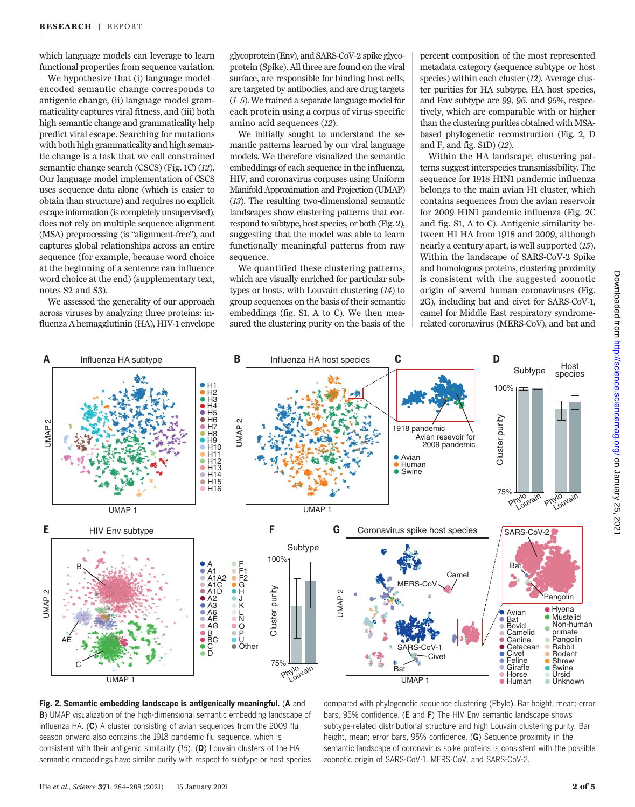which language models can leverage to learn functional properties from sequence variation.

We hypothesize that (i) language modelencoded semantic change corresponds to antigenic change, (ii) language model grammaticality captures viral fitness, and (iii) both high semantic change and grammaticality help predict viral escape. Searching for mutations with both high grammaticality and high semantic change is a task that we call constrained semantic change search (CSCS) (Fig. 1C) (12). Our language model implementation of CSCS uses sequence data alone (which is easier to obtain than structure) and requires no explicit escape information (is completely unsupervised), does not rely on multiple sequence alignment (MSA) preprocessing (is "alignment-free"), and captures global relationships across an entire sequence (for example, because word choice at the beginning of a sentence can influence word choice at the end) (supplementary text, notes S2 and S3).

We assessed the generality of our approach across viruses by analyzing three proteins: influenza A hemagglutinin (HA), HIV-1 envelope

glycoprotein (Env), and SARS-CoV-2 spike glycoprotein (Spike). All three are found on the viral surface, are responsible for binding host cells, are targeted by antibodies, and are drug targets (1–5). We trained a separate language model for each protein using a corpus of virus-specific amino acid sequences (12).

We initially sought to understand the semantic patterns learned by our viral language models. We therefore visualized the semantic embeddings of each sequence in the influenza, HIV, and coronavirus corpuses using Uniform Manifold Approximation and Projection (UMAP) (13). The resulting two-dimensional semantic landscapes show clustering patterns that correspond to subtype, host species, or both (Fig. 2), suggesting that the model was able to learn functionally meaningful patterns from raw sequence.

We quantified these clustering patterns, which are visually enriched for particular subtypes or hosts, with Louvain clustering (14) to group sequences on the basis of their semantic embeddings (fig. S1, A to C). We then measured the clustering purity on the basis of the

percent composition of the most represented metadata category (sequence subtype or host species) within each cluster (12). Average cluster purities for HA subtype, HA host species, and Env subtype are 99, 96, and 95%, respectively, which are comparable with or higher than the clustering purities obtained with MSAbased phylogenetic reconstruction (Fig. 2, D and F, and fig. S1D) (12).

Within the HA landscape, clustering patterns suggest interspecies transmissibility. The sequence for 1918 H1N1 pandemic influenza belongs to the main avian H1 cluster, which contains sequences from the avian reservoir for 2009 H1N1 pandemic influenza (Fig. 2C and fig. S1, A to C). Antigenic similarity between H1 HA from 1918 and 2009, although nearly a century apart, is well supported (15). Within the landscape of SARS-CoV-2 Spike and homologous proteins, clustering proximity is consistent with the suggested zoonotic origin of several human coronaviruses (Fig. 2G), including bat and civet for SARS-CoV-1, camel for Middle East respiratory syndromerelated coronavirus (MERS-CoV), and bat and



Fig. 2. Semantic embedding landscape is antigenically meaningful. (A and B) UMAP visualization of the high-dimensional semantic embedding landscape of influenza HA. (C) A cluster consisting of avian sequences from the 2009 flu season onward also contains the 1918 pandemic flu sequence, which is consistent with their antigenic similarity (15). (D) Louvain clusters of the HA semantic embeddings have similar purity with respect to subtype or host species

compared with phylogenetic sequence clustering (Phylo). Bar height, mean; error bars, 95% confidence. (E and F) The HIV Env semantic landscape shows subtype-related distributional structure and high Louvain clustering purity. Bar height, mean; error bars, 95% confidence. (G) Sequence proximity in the semantic landscape of coronavirus spike proteins is consistent with the possible zoonotic origin of SARS-CoV-1, MERS-CoV, and SARS-CoV-2.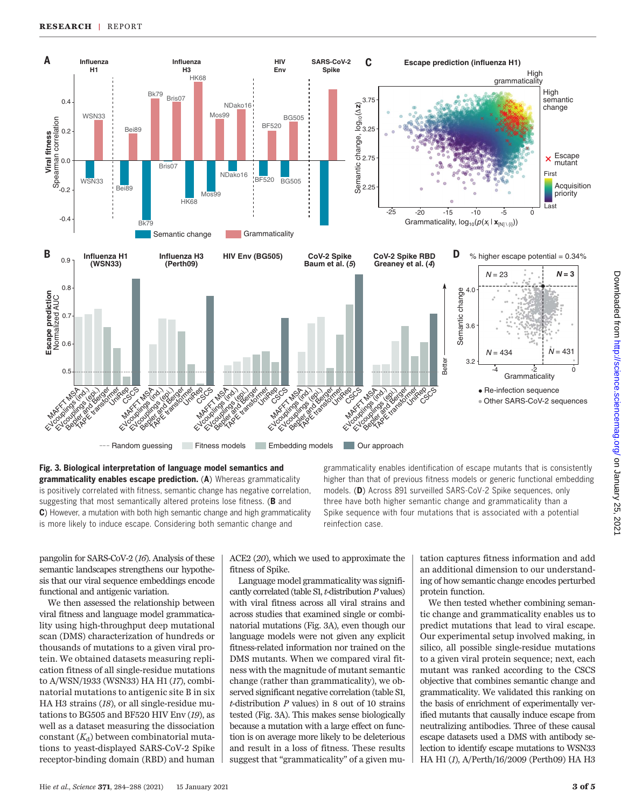

Fig. 3. Biological interpretation of language model semantics and grammaticality enables escape prediction. (A) Whereas grammaticality is positively correlated with fitness, semantic change has negative correlation, suggesting that most semantically altered proteins lose fitness. (**B** and C) However, a mutation with both high semantic change and high grammaticality is more likely to induce escape. Considering both semantic change and

grammaticality enables identification of escape mutants that is consistently higher than that of previous fitness models or generic functional embedding models. (D) Across 891 surveilled SARS-CoV-2 Spike sequences, only three have both higher semantic change and grammaticality than a Spike sequence with four mutations that is associated with a potential reinfection case.

pangolin for SARS-CoV-2 (16). Analysis of these semantic landscapes strengthens our hypothesis that our viral sequence embeddings encode functional and antigenic variation.

We then assessed the relationship between viral fitness and language model grammaticality using high-throughput deep mutational scan (DMS) characterization of hundreds or thousands of mutations to a given viral protein. We obtained datasets measuring replication fitness of all single-residue mutations to A/WSN/1933 (WSN33) HA H1 (17), combinatorial mutations to antigenic site B in six HA H3 strains (18), or all single-residue mutations to BG505 and BF520 HIV Env (19), as well as a dataset measuring the dissociation constant  $(K_d)$  between combinatorial mutations to yeast-displayed SARS-CoV-2 Spike receptor-binding domain (RBD) and human ACE2 (20), which we used to approximate the fitness of Spike.

Language model grammaticality was significantly correlated (table S1, t-distribution P values) with viral fitness across all viral strains and across studies that examined single or combinatorial mutations (Fig. 3A), even though our language models were not given any explicit fitness-related information nor trained on the DMS mutants. When we compared viral fitness with the magnitude of mutant semantic change (rather than grammaticality), we observed significant negative correlation (table S1,  $t$ -distribution  $P$  values) in 8 out of 10 strains tested (Fig. 3A). This makes sense biologically because a mutation with a large effect on function is on average more likely to be deleterious and result in a loss of fitness. These results suggest that "grammaticality" of a given mutation captures fitness information and add an additional dimension to our understanding of how semantic change encodes perturbed protein function.

We then tested whether combining semantic change and grammaticality enables us to predict mutations that lead to viral escape. Our experimental setup involved making, in silico, all possible single-residue mutations to a given viral protein sequence; next, each mutant was ranked according to the CSCS objective that combines semantic change and grammaticality. We validated this ranking on the basis of enrichment of experimentally verified mutants that causally induce escape from neutralizing antibodies. Three of these causal escape datasets used a DMS with antibody selection to identify escape mutations to WSN33 HA H1 (1), A/Perth/16/2009 (Perth09) HA H3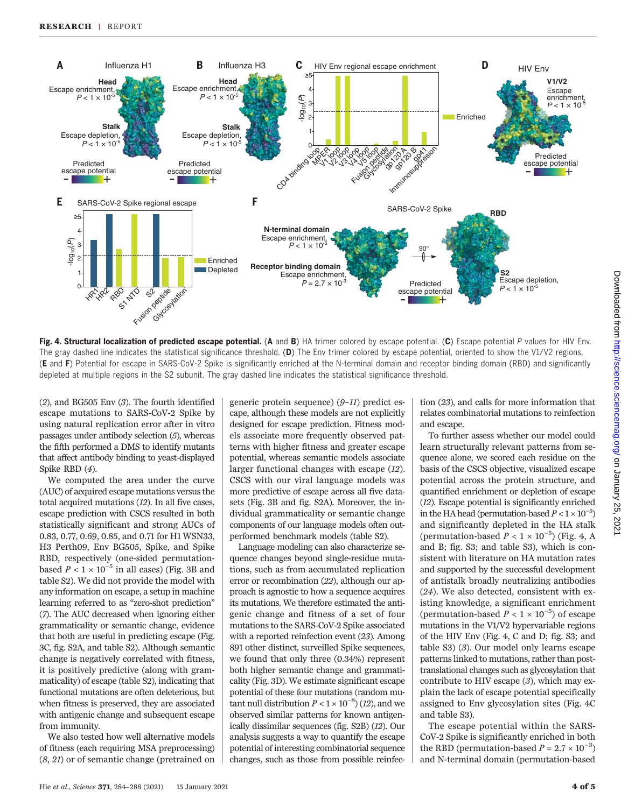

Fig. 4. Structural localization of predicted escape potential. (A and B) HA trimer colored by escape potential. (C) Escape potential P values for HIV Env. The gray dashed line indicates the statistical significance threshold. (D) The Env trimer colored by escape potential, oriented to show the V1/V2 regions. (E and F) Potential for escape in SARS-CoV-2 Spike is significantly enriched at the N-terminal domain and receptor binding domain (RBD) and significantly depleted at multiple regions in the S2 subunit. The gray dashed line indicates the statistical significance threshold.

(2), and BG505 Env (3). The fourth identified escape mutations to SARS-CoV-2 Spike by using natural replication error after in vitro passages under antibody selection (5), whereas the fifth performed a DMS to identify mutants that affect antibody binding to yeast-displayed Spike RBD (4).

We computed the area under the curve (AUC) of acquired escape mutations versus the total acquired mutations (12). In all five cases, escape prediction with CSCS resulted in both statistically significant and strong AUCs of 0.83, 0.77, 0.69, 0.85, and 0.71 for H1 WSN33, H3 Perth09, Env BG505, Spike, and Spike RBD, respectively (one-sided permutationbased  $P < 1 \times 10^{-5}$  in all cases) (Fig. 3B and table S2). We did not provide the model with any information on escape, a setup in machine learning referred to as "zero-shot prediction" (7). The AUC decreased when ignoring either grammaticality or semantic change, evidence that both are useful in predicting escape (Fig. 3C, fig. S2A, and table S2). Although semantic change is negatively correlated with fitness, it is positively predictive (along with grammaticality) of escape (table S2), indicating that functional mutations are often deleterious, but when fitness is preserved, they are associated with antigenic change and subsequent escape from immunity.

We also tested how well alternative models of fitness (each requiring MSA preprocessing) (8, 21) or of semantic change (pretrained on

generic protein sequence) (9–11) predict escape, although these models are not explicitly designed for escape prediction. Fitness models associate more frequently observed patterns with higher fitness and greater escape potential, whereas semantic models associate larger functional changes with escape (12). CSCS with our viral language models was more predictive of escape across all five datasets (Fig. 3B and fig. S2A). Moreover, the individual grammaticality or semantic change components of our language models often outperformed benchmark models (table S2).

Language modeling can also characterize sequence changes beyond single-residue mutations, such as from accumulated replication error or recombination (22), although our approach is agnostic to how a sequence acquires its mutations. We therefore estimated the antigenic change and fitness of a set of four mutations to the SARS-CoV-2 Spike associated with a reported reinfection event (23). Among 891 other distinct, surveilled Spike sequences, we found that only three (0.34%) represent both higher semantic change and grammaticality (Fig. 3D). We estimate significant escape potential of these four mutations (random mutant null distribution  $P < 1 \times 10^{-8}$ ) (12), and we observed similar patterns for known antigenically dissimilar sequences (fig. S2B) (12). Our analysis suggests a way to quantify the escape potential of interesting combinatorial sequence changes, such as those from possible reinfec-

tion (23), and calls for more information that relates combinatorial mutations to reinfection and escape.

To further assess whether our model could learn structurally relevant patterns from sequence alone, we scored each residue on the basis of the CSCS objective, visualized escape potential across the protein structure, and quantified enrichment or depletion of escape (12). Escape potential is significantly enriched in the HA head (permutation-based  $P < 1 \times 10^{-5}$ ) and significantly depleted in the HA stalk (permutation-based  $P < 1 \times 10^{-5}$ ) (Fig. 4, A and B; fig. S3; and table S3), which is consistent with literature on HA mutation rates and supported by the successful development of antistalk broadly neutralizing antibodies (24). We also detected, consistent with existing knowledge, a significant enrichment (permutation-based  $P < 1 \times 10^{-5}$ ) of escape mutations in the V1/V2 hypervariable regions of the HIV Env (Fig. 4, C and D; fig. S3; and table S3) (3). Our model only learns escape patterns linked to mutations, rather than posttranslational changes such as glycosylation that contribute to HIV escape  $(3)$ , which may explain the lack of escape potential specifically assigned to Env glycosylation sites (Fig. 4C and table S3).

The escape potential within the SARS-CoV-2 Spike is significantly enriched in both the RBD (permutation-based  $P = 2.7 \times 10^{-3}$ ) and N-terminal domain (permutation-based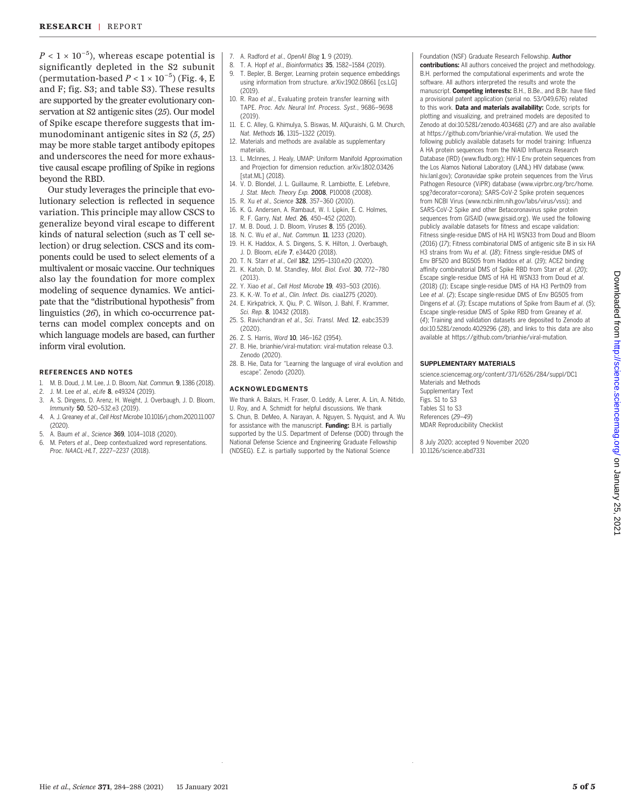$P < 1 \times 10^{-5}$ ), whereas escape potential is significantly depleted in the S2 subunit (permutation-based  $P < 1 \times 10^{-5}$ ) (Fig. 4, E and F; fig. S3; and table S3). These results are supported by the greater evolutionary conservation at S2 antigenic sites (25). Our model of Spike escape therefore suggests that immunodominant antigenic sites in S2 (5, 25) may be more stable target antibody epitopes and underscores the need for more exhaustive causal escape profiling of Spike in regions beyond the RBD.

Our study leverages the principle that evolutionary selection is reflected in sequence variation. This principle may allow CSCS to generalize beyond viral escape to different kinds of natural selection (such as T cell selection) or drug selection. CSCS and its components could be used to select elements of a multivalent or mosaic vaccine. Our techniques also lay the foundation for more complex modeling of sequence dynamics. We anticipate that the "distributional hypothesis" from linguistics (26), in which co-occurrence patterns can model complex concepts and on which language models are based, can further inform viral evolution.

#### REFERENCES AND NOTES

- 1. M. B. Doud, J. M. Lee, J. D. Bloom, Nat. Commun. 9, 1386 (2018).
- 2. J. M. Lee et al., eLife 8, e49324 (2019).
- 3. A. S. Dingens, D. Arenz, H. Weight, J. Overbaugh, J. D. Bloom, Immunity 50, 520–532.e3 (2019).
- 4. A. J. Greaney et al., Cell Host Microbe 10.1016/j.chom.2020.11.007 (2020).
- 5. A. Baum et al., Science 369, 1014–1018 (2020).
- 6. M. Peters et al., Deep contextualized word representations. Proc. NAACL-HLT, 2227–2237 (2018).
- 7. A. Radford et al., OpenAI Blog 1, 9 (2019).
- T. A. Hopf et al., Bioinformatics 35, 1582-1584 (2019).
- 9. T. Bepler, B. Berger, Learning protein sequence embeddings using information from structure. arXiv:1902.08661 [cs.LG] (2019).
- 10. R. Rao et al., Evaluating protein transfer learning with TAPE. Proc. Adv. Neural Inf. Process. Syst., 9686–9698 (2019).
- 11. E. C. Alley, G. Khimulya, S. Biswas, M. AlQuraishi, G. M. Church, Nat. Methods 16, 1315–1322 (2019).
- 12. Materials and methods are available as supplementary materials.
- 13. L. McInnes, J. Healy, UMAP: Uniform Manifold Approximation and Projection for dimension reduction. arXiv:1802.03426 [stat.ML] (2018).
- 14. V. D. Blondel, J. L. Guillaume, R. Lambiotte, E. Lefebvre, J. Stat. Mech. Theory Exp. 2008, P10008 (2008).
- 15. R. Xu et al., Science 328, 357–360 (2010).
- 16. K. G. Andersen, A. Rambaut, W. I. Lipkin, E. C. Holmes, R. F. Garry, Nat. Med. 26, 450–452 (2020).
- 17. M. B. Doud, J. D. Bloom, Viruses 8, 155 (2016).
- 18. N. C. Wu et al., Nat. Commun. 11, 1233 (2020).
- 19. H. K. Haddox, A. S. Dingens, S. K. Hilton, J. Overbaugh, J. D. Bloom, eLife 7, e34420 (2018).
- 20. T. N. Starr et al., Cell 182, 1295–1310.e20 (2020).
- 21. K. Katoh, D. M. Standley, Mol. Biol. Evol. 30, 772–780 (2013).
- 22. Y. Xiao et al., Cell Host Microbe 19, 493–503 (2016).
- 23. K. K.-W. To et al., Clin. Infect. Dis. ciaa1275 (2020).
- 24. E. Kirkpatrick, X. Qiu, P. C. Wilson, J. Bahl, F. Krammer, Sci. Rep. 8, 10432 (2018).
- 25. S. Ravichandran et al., Sci. Transl. Med. 12, eabc3539 (2020).
- 26. Z. S. Harris, Word 10, 146–162 (1954).
- 27. B. Hie, brianhie/viral-mutation: viral-mutation release 0.3.
- Zenodo (2020). 28. B. Hie, Data for "Learning the language of viral evolution and escape". Zenodo (2020).

#### ACKNOWLEDGMENTS

We thank A. Balazs, H. Fraser, O. Leddy, A. Lerer, A. Lin, A. Nitido, U. Roy, and A. Schmidt for helpful discussions. We thank S. Chun, B. DeMeo, A. Narayan, A. Nguyen, S. Nyquist, and A. Wu for assistance with the manuscript. Funding: B.H. is partially supported by the U.S. Department of Defense (DOD) through the National Defense Science and Engineering Graduate Fellowship (NDSEG). E.Z. is partially supported by the National Science

Foundation (NSF) Graduate Research Fellowship. Author contributions: All authors conceived the project and methodology. B.H. performed the computational experiments and wrote the software. All authors interpreted the results and wrote the manuscript. Competing interests: B.H., B.Be., and B.Br. have filed a provisional patent application (serial no. 53/049,676) related to this work. Data and materials availability: Code, scripts for plotting and visualizing, and pretrained models are deposited to Zenodo at doi:10.5281/zenodo.4034681 (27) and are also available at https://github.com/brianhie/viral-mutation. We used the following publicly available datasets for model training: Influenza A HA protein sequences from the NIAID Influenza Research Database (IRD) (www.fludb.org); HIV-1 Env protein sequences from the Los Alamos National Laboratory (LANL) HIV database (www. hiv.lanl.gov); Coronavidae spike protein sequences from the Virus Pathogen Resource (ViPR) database (www.viprbrc.org/brc/home. spg?decorator=corona); SARS-CoV-2 Spike protein sequences from NCBI Virus (www.ncbi.nlm.nih.gov/labs/virus/vssi); and SARS-CoV-2 Spike and other Betacoronavirus spike protein sequences from GISAID (www.gisaid.org). We used the following publicly available datasets for fitness and escape validation: Fitness single-residue DMS of HA H1 WSN33 from Doud and Bloom (2016) (17); Fitness combinatorial DMS of antigenic site B in six HA H3 strains from Wu et al. (18); Fitness single-residue DMS of Env BF520 and BG505 from Haddox et al. (19); ACE2 binding affinity combinatorial DMS of Spike RBD from Starr et al. (20); Escape single-residue DMS of HA H1 WSN33 from Doud et al. (2018) (1); Escape single-residue DMS of HA H3 Perth09 from Lee et al. (2); Escape single-residue DMS of Env BG505 from Dingens et al. (3); Escape mutations of Spike from Baum et al. (5); Escape single-residue DMS of Spike RBD from Greaney et al. (4); Training and validation datasets are deposited to Zenodo at doi:10.5281/zenodo.4029296 (28), and links to this data are also available at https://github.com/brianhie/viral-mutation.

## SUPPLEMENTARY MATERIALS

science.sciencemag.org/content/371/6526/284/suppl/DC1 Materials and Methods Supplementary Text Figs. S1 to S3 Tables S1 to S3 References (29–49) MDAR Reproducibility Checklist

8 July 2020; accepted 9 November 2020 10.1126/science.abd7331